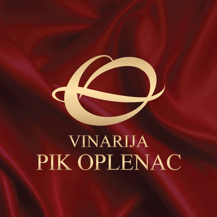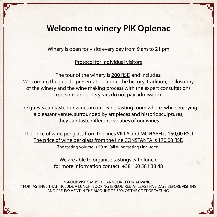# **Welcome to winery PIK Oplenac**

Winery is open for visits every day from 9 am to 21 pm

Protocol for individual visitors

The tour of the winery is **200** RSD and includes: Welcoming the guests, presentation about the history, tradition, philosophy of the winery and the wine making process with the expert consultations (persons under 13 years do not pay admission)

The guests can taste our wines in our wine tasting room where, while enjoying a pleasant venue, surrounded by art pieces and historic sculptures, they can taste different variaties of our wines

The price of wine per glass from the lines VILLA and MONARH is 150,00 RSD The price of wine per glass from the line CONSTANTA is 170,00 RSD The tasting volume is 50 ml (all wine tastings included)

We are able to organise tastings with lunch,

### for more information contact: +381 60 581 38 48

#### \*GROUP VISITS MUST BE ANNOUNCED IN ADVANCE. \* FOR TASTINGS THAT INCLUDE A LUNCH, BOOKING IS REQUIRED AT LEAST FIVE DAYS BEFORE VISITING AND PRE-PAYMENT IN THE AMOUNT OF 50% OF THE COST OF TASTING.

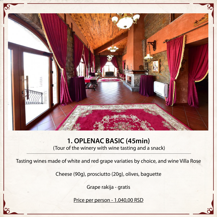

## **1. OPLENAC BASIC (45min)**

(Tour of the winery with wine tasting and a snack)

Tasting wines made of white and red grape variaties by choice, and wine Villa Rose

### Cheese (90g), prosciutto (20g), olives, baguette

## Grape rakija - gratis

## Price per person - 1.040,00 RSD

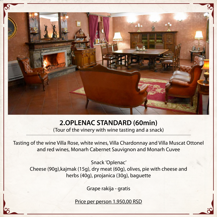

## **2.OPLENAC STANDARD (60min)**

(Tour of the vinery with wine tasting and a snack)

Tasting of the wine Villa Rose, white wines, Villa Chardonnay and Villa Muscat Ottonel and red wines, Monarh Cabernet Sauvignon and Monarh Cuvee

Snack 'Oplenac'

Cheese (90g),kajmak (15g), dry meat (60g), olives, pie with cheese and herbs (40g), projanica (30g), baguette

Grape rakija - gratis

Price per person 1.950,00 RSD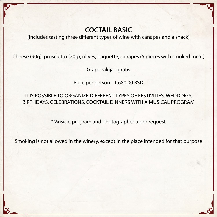## **COCTAIL BASIC**

(Includes tasting three different types of wine with canapes and a snack)

Cheese (90g), prosciutto (20g), olives, baguette, canapes (5 pieces with smoked meat)

Grape rakija - gratis

Price per person - 1.680,00 RSD

IT IS POSSIBLE TO ORGANIZE DIFFERENT TYPES OF FESTIVITIES, WEDDINGS, BIRTHDAYS, CELEBRATIONS, COCKTAIL DINNERS WITH A MUSICAL PROGRAM

\*Musical program and photographer upon request

Smoking is not allowed in the winery, except in the place intended for that purpose